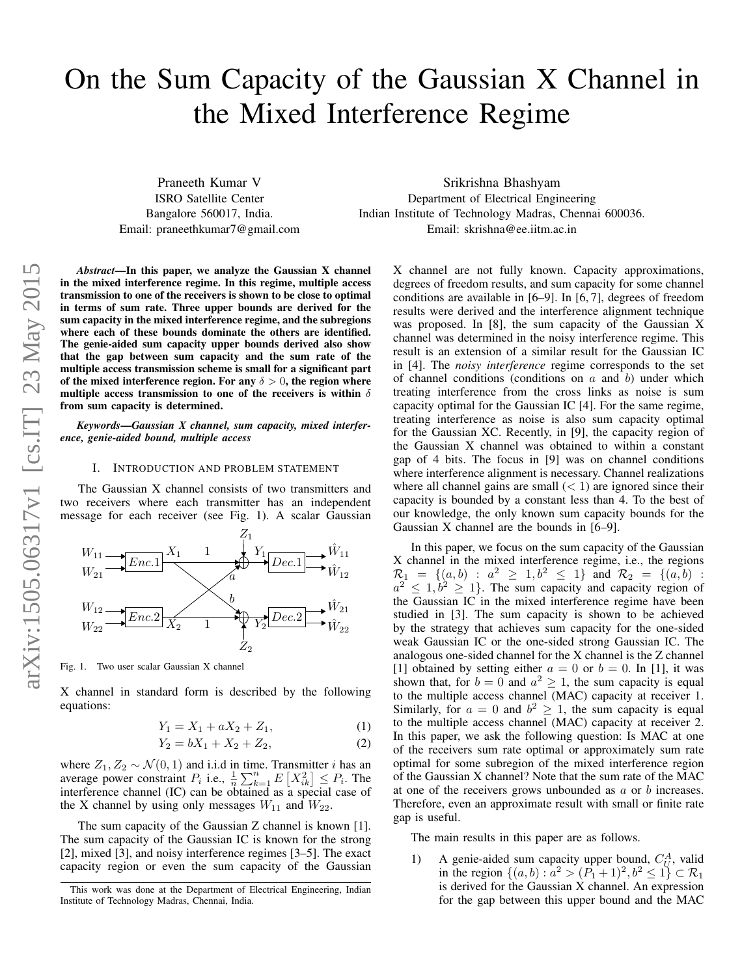# On the Sum Capacity of the Gaussian X Channel in the Mixed Interference Regime

Praneeth Kumar V ISRO Satellite Center Bangalore 560017, India. Email: praneethkumar7@gmail.com

Srikrishna Bhashyam Department of Electrical Engineering Indian Institute of Technology Madras, Chennai 600036. Email: skrishna@ee.iitm.ac.in

*Abstract*—In this paper, we analyze the Gaussian X channel in the mixed interference regime. In this regime, multiple access transmission to one of the receivers is shown to be close to optimal in terms of sum rate. Three upper bounds are derived for the sum capacity in the mixed interference regime, and the subregions where each of these bounds dominate the others are identified. The genie-aided sum capacity upper bounds derived also show that the gap between sum capacity and the sum rate of the multiple access transmission scheme is small for a significant part of the mixed interference region. For any  $\delta > 0$ , the region where multiple access transmission to one of the receivers is within  $\delta$ from sum capacity is determined.

*Keywords*—*Gaussian X channel, sum capacity, mixed interference, genie-aided bound, multiple access*

#### I. INTRODUCTION AND PROBLEM STATEMENT

The Gaussian X channel consists of two transmitters and two receivers where each transmitter has an independent message for each receiver (see Fig. 1). A scalar Gaussian



Fig. 1. Two user scalar Gaussian X channel

X channel in standard form is described by the following equations:

$$
Y_1 = X_1 + aX_2 + Z_1, \tag{1}
$$

$$
Y_2 = bX_1 + X_2 + Z_2, \t\t(2)
$$

where  $Z_1, Z_2 \sim \mathcal{N}(0, 1)$  and i.i.d in time. Transmitter *i* has an average power constraint  $P_i$  i.e.,  $\frac{1}{n} \sum_{k=1}^n E[X_{ik}^2] \leq P_i$ . The interference channel (IC) can be obtained as a special case of the X channel by using only messages  $W_{11}$  and  $W_{22}$ .

The sum capacity of the Gaussian Z channel is known [1]. The sum capacity of the Gaussian IC is known for the strong [2], mixed [3], and noisy interference regimes [3–5]. The exact capacity region or even the sum capacity of the Gaussian

X channel are not fully known. Capacity approximations, degrees of freedom results, and sum capacity for some channel conditions are available in [6–9]. In [6, 7], degrees of freedom results were derived and the interference alignment technique was proposed. In [8], the sum capacity of the Gaussian X channel was determined in the noisy interference regime. This result is an extension of a similar result for the Gaussian IC in [4]. The *noisy interference* regime corresponds to the set of channel conditions (conditions on  $a$  and  $b$ ) under which treating interference from the cross links as noise is sum capacity optimal for the Gaussian IC [4]. For the same regime, treating interference as noise is also sum capacity optimal for the Gaussian XC. Recently, in [9], the capacity region of the Gaussian X channel was obtained to within a constant gap of 4 bits. The focus in [9] was on channel conditions where interference alignment is necessary. Channel realizations where all channel gains are small  $(< 1)$  are ignored since their capacity is bounded by a constant less than 4. To the best of our knowledge, the only known sum capacity bounds for the Gaussian X channel are the bounds in [6–9].

In this paper, we focus on the sum capacity of the Gaussian X channel in the mixed interference regime, i.e., the regions  $\mathcal{R}_1 = \{(a, b) : a^2 \ge 1, b^2 \le 1\}$  and  $\mathcal{R}_2 = \{(a, b) : a^2 \le 1, b^2 \ge 1\}$ . The sum capacity and capacity region of the Gaussian IC in the mixed interference regime have been studied in [3]. The sum capacity is shown to be achieved by the strategy that achieves sum capacity for the one-sided weak Gaussian IC or the one-sided strong Gaussian IC. The analogous one-sided channel for the X channel is the Z channel [1] obtained by setting either  $a = 0$  or  $b = 0$ . In [1], it was shown that, for  $b = 0$  and  $a^2 \ge 1$ , the sum capacity is equal to the multiple access channel (MAC) capacity at receiver 1. Similarly, for  $a = 0$  and  $b^2 \ge 1$ , the sum capacity is equal to the multiple access channel (MAC) capacity at receiver 2. In this paper, we ask the following question: Is MAC at one of the receivers sum rate optimal or approximately sum rate optimal for some subregion of the mixed interference region of the Gaussian X channel? Note that the sum rate of the MAC at one of the receivers grows unbounded as a or b increases. Therefore, even an approximate result with small or finite rate gap is useful.

The main results in this paper are as follows.

1) A genie-aided sum capacity upper bound,  $C_U^A$ , valid in the region  $\{(a, b) : a^2 > (P_1 + 1)^2, b^2 \le 1\} \subset \mathcal{R}_1$ is derived for the Gaussian X channel. An expression for the gap between this upper bound and the MAC

This work was done at the Department of Electrical Engineering, Indian Institute of Technology Madras, Chennai, India.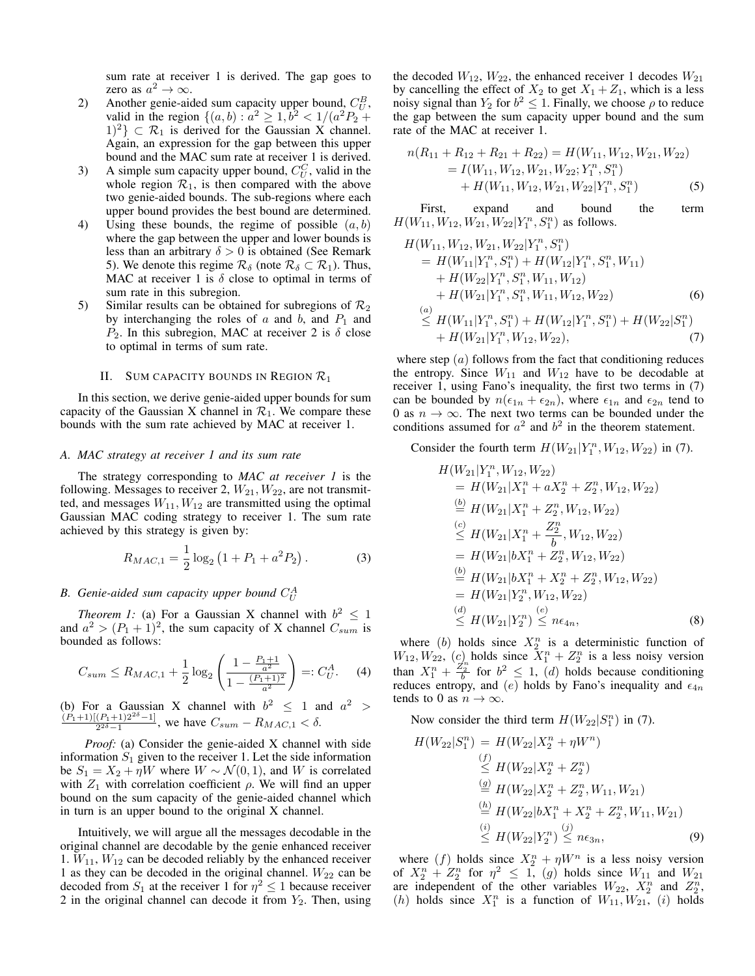sum rate at receiver 1 is derived. The gap goes to zero as  $a^2 \to \infty$ .

- 2) Another genie-aided sum capacity upper bound,  $C_U^B$ , valid in the region  $\{(a, b) : a^2 \ge 1, b^2 < 1/(a^2 P_2 + a^2) \}$  $|1|^2$   $\subset \mathcal{R}_1$  is derived for the Gaussian X channel. Again, an expression for the gap between this upper bound and the MAC sum rate at receiver 1 is derived.
- 3) A simple sum capacity upper bound,  $C_U^C$ , valid in the whole region  $\mathcal{R}_1$ , is then compared with the above two genie-aided bounds. The sub-regions where each upper bound provides the best bound are determined.
- 4) Using these bounds, the regime of possible  $(a, b)$ where the gap between the upper and lower bounds is less than an arbitrary  $\delta > 0$  is obtained (See Remark 5). We denote this regime  $\mathcal{R}_{\delta}$  (note  $\mathcal{R}_{\delta} \subset \mathcal{R}_1$ ). Thus, MAC at receiver 1 is  $\delta$  close to optimal in terms of sum rate in this subregion.
- 5) Similar results can be obtained for subregions of  $\mathcal{R}_2$ by interchanging the roles of  $a$  and  $b$ , and  $P_1$  and  $P_2$ . In this subregion, MAC at receiver 2 is  $\delta$  close to optimal in terms of sum rate.

### II. SUM CAPACITY BOUNDS IN REGION  $\mathcal{R}_1$

In this section, we derive genie-aided upper bounds for sum capacity of the Gaussian X channel in  $\mathcal{R}_1$ . We compare these bounds with the sum rate achieved by MAC at receiver 1.

#### *A. MAC strategy at receiver 1 and its sum rate*

The strategy corresponding to *MAC at receiver 1* is the following. Messages to receiver 2,  $W_{21}$ ,  $W_{22}$ , are not transmitted, and messages  $W_{11}$ ,  $W_{12}$  are transmitted using the optimal Gaussian MAC coding strategy to receiver 1. The sum rate achieved by this strategy is given by:

$$
R_{MAC,1} = \frac{1}{2} \log_2 \left( 1 + P_1 + a^2 P_2 \right). \tag{3}
$$

# B. Genie-aided sum capacity upper bound  $C_U^A$

*Theorem 1:* (a) For a Gaussian X channel with  $b^2 \le 1$ and  $a^2 > (P_1 + 1)^2$ , the sum capacity of X channel  $C_{sum}$  is bounded as follows:

$$
C_{sum} \le R_{MAC,1} + \frac{1}{2} \log_2 \left( \frac{1 - \frac{P_1 + 1}{a^2}}{1 - \frac{(P_1 + 1)^2}{a^2}} \right) =: C_U^A. \tag{4}
$$

(b) For a Gaussian X channel with  $b^2 \leq 1$  and  $a^2 >$  $(P_1+1)[(P_1+1)2^{2\delta}-1]$  $\frac{(P_1+1)Z}{2^{2\delta}-1}$ , we have  $C_{sum} - R_{MAC,1} < \delta$ .

*Proof:* (a) Consider the genie-aided X channel with side information  $S_1$  given to the receiver 1. Let the side information be  $S_1 = X_2 + \eta W$  where  $W \sim \mathcal{N}(0, 1)$ , and W is correlated with  $Z_1$  with correlation coefficient  $\rho$ . We will find an upper bound on the sum capacity of the genie-aided channel which in turn is an upper bound to the original X channel.

Intuitively, we will argue all the messages decodable in the original channel are decodable by the genie enhanced receiver 1.  $W_{11}$ ,  $W_{12}$  can be decoded reliably by the enhanced receiver 1 as they can be decoded in the original channel.  $W_{22}$  can be decoded from  $S_1$  at the receiver 1 for  $\eta^2 \le 1$  because receiver 2 in the original channel can decode it from  $Y_2$ . Then, using the decoded  $W_{12}$ ,  $W_{22}$ , the enhanced receiver 1 decodes  $W_{21}$ by cancelling the effect of  $X_2$  to get  $X_1 + Z_1$ , which is a less noisy signal than  $Y_2$  for  $b^2 \le 1$ . Finally, we choose  $\rho$  to reduce the gap between the sum capacity upper bound and the sum rate of the MAC at receiver 1.

$$
n(R_{11} + R_{12} + R_{21} + R_{22}) = H(W_{11}, W_{12}, W_{21}, W_{22})
$$
  
=  $I(W_{11}, W_{12}, W_{21}, W_{22}; Y_1^n, S_1^n)$   
+  $H(W_{11}, W_{12}, W_{21}, W_{22}|Y_1^n, S_1^n)$  (5)

First, expand and bound the term  $H(W_{11}, W_{12}, W_{21}, W_{22}|Y_1^n, S_1^n)$  as follows.

$$
H(W_{11}, W_{12}, W_{21}, W_{22}|Y_1^n, S_1^n)
$$
  
=  $H(W_{11}|Y_1^n, S_1^n) + H(W_{12}|Y_1^n, S_1^n, W_{11})$   
+  $H(W_{22}|Y_1^n, S_1^n, W_{11}, W_{12})$   
+  $H(W_{21}|Y_1^n, S_1^n, W_{11}, W_{12}, W_{22})$  (6)  
 $\stackrel{(a)}{\leq} H(W_{11}|Y_1^n, S_1^n) + H(W_{12}|Y_1^n, S_1^n) + H(W_{22}|S_1^n)$   
+  $H(W_{21}|Y_1^n, W_{12}, W_{22}),$  (7)

where step  $(a)$  follows from the fact that conditioning reduces the entropy. Since  $W_{11}$  and  $W_{12}$  have to be decodable at receiver 1, using Fano's inequality, the first two terms in (7) can be bounded by  $n(\epsilon_{1n} + \epsilon_{2n})$ , where  $\epsilon_{1n}$  and  $\epsilon_{2n}$  tend to 0 as  $n \to \infty$ . The next two terms can be bounded under the conditions assumed for  $a^2$  and  $b^2$  in the theorem statement.

Consider the fourth term  $H(W_{21}|Y_1^n, W_{12}, W_{22})$  in (7).

$$
H(W_{21}|Y_1^n, W_{12}, W_{22})
$$
  
=  $H(W_{21}|X_1^n + aX_2^n + Z_2^n, W_{12}, W_{22})$   
 $\stackrel{(b)}{=} H(W_{21}|X_1^n + Z_2^n, W_{12}, W_{22})$   
 $\stackrel{(c)}{\leq} H(W_{21}|X_1^n + \frac{Z_2^n}{b}, W_{12}, W_{22})$   
=  $H(W_{21}|bX_1^n + Z_2^n, W_{12}, W_{22})$   
 $\stackrel{(b)}{=} H(W_{21}|bX_1^n + X_2^n + Z_2^n, W_{12}, W_{22})$   
=  $H(W_{21}|Y_2^n, W_{12}, W_{22})$   
 $\stackrel{(d)}{\leq} H(W_{21}|Y_2^n) \stackrel{(e)}{\leq} n\epsilon_{4n},$  (8)

where (b) holds since  $X_2^n$  is a deterministic function of  $W_{12}, W_{22}, (c)$  holds since  $\overline{X}_1^n + \overline{Z}_2^n$  is a less noisy version than  $X_1^n + \frac{Z_2^n}{b}$  for  $b^2 \le 1$ , (d) holds because conditioning reduces entropy, and (e) holds by Fano's inequality and  $\epsilon_{4n}$ tends to 0 as  $n \to \infty$ .

Now consider the third term  $H(W_{22}|S_1^n)$  in (7).

$$
H(W_{22}|S_1^n) = H(W_{22}|X_2^n + \eta W^n)
$$
  
\n
$$
\leq H(W_{22}|X_2^n + Z_2^n)
$$
  
\n
$$
\stackrel{\text{(g)}}{=} H(W_{22}|X_2^n + Z_2^n, W_{11}, W_{21})
$$
  
\n
$$
\stackrel{\text{(h)}}{=} H(W_{22}|bX_1^n + X_2^n + Z_2^n, W_{11}, W_{21})
$$
  
\n
$$
\stackrel{\text{(i)}}{\leq} H(W_{22}|Y_2^n) \stackrel{\text{(j)}}{\leq} n\epsilon_{3n},
$$
\n(9)

where  $(f)$  holds since  $X_2^n + \eta W^n$  is a less noisy version of  $X_2^n + Z_2^n$  for  $\eta^2 \leq 1$ , (g) holds since  $W_{11}$  and  $W_{21}$ are independent of the other variables  $W_{22}$ ,  $X_2^n$  and  $Z_2^n$ , (h) holds since  $X_1^n$  is a function of  $W_{11}, W_{21}, (i)$  holds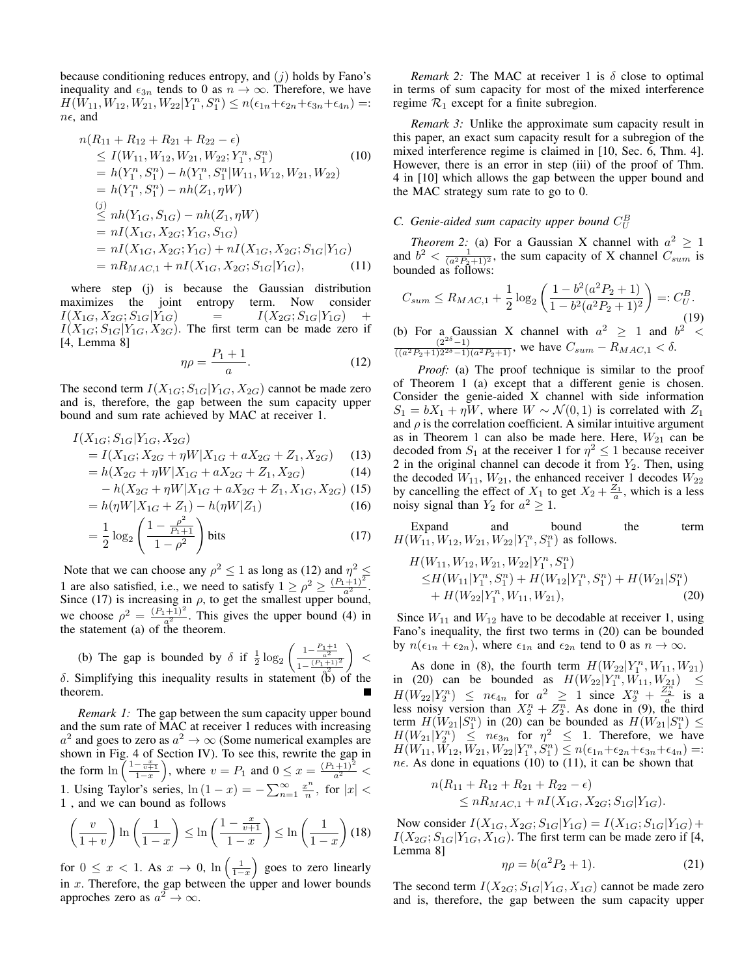because conditioning reduces entropy, and  $(j)$  holds by Fano's inequality and  $\epsilon_{3n}$  tends to 0 as  $n \to \infty$ . Therefore, we have  $H(W_{11}, W_{12}, W_{21}, W_{22}|Y_1^n, S_1^n) \le n(\epsilon_{1n} + \epsilon_{2n} + \epsilon_{3n} + \epsilon_{4n}) =:$  $n\epsilon$ , and

$$
n(R_{11} + R_{12} + R_{21} + R_{22} - \epsilon)
$$
  
\n
$$
\leq I(W_{11}, W_{12}, W_{21}, W_{22}; Y_1^n, S_1^n)
$$
(10)  
\n
$$
= h(Y_1^n, S_1^n) - h(Y_1^n, S_1^n | W_{11}, W_{12}, W_{21}, W_{22})
$$
  
\n
$$
= h(Y_1^n, S_1^n) - nh(Z_1, \eta W)
$$
  
\n(j)  
\n
$$
\leq nh(Y_{1G}, S_{1G}) - nh(Z_1, \eta W)
$$
  
\n
$$
= nI(X_{1G}, X_{2G}; Y_{1G}, S_{1G})
$$
  
\n
$$
= nI(X_{1G}, X_{2G}; Y_{1G}) + nI(X_{1G}, X_{2G}; S_{1G}|Y_{1G})
$$
  
\n
$$
= nR_{MAC,1} + nI(X_{1G}, X_{2G}; S_{1G}|Y_{1G}),
$$
(11)

where step (j) is because the Gaussian distribution maximizes the joint entropy term. Now consider  $I(X_{1G}, X_{2G}; S_{1G}|Y_{1G}) = I(X_{2G}; S_{1G}|Y_{1G}) +$  $I(X_{1G}; S_{1G}|Y_{1G}, X_{2G})$ . The first term can be made zero if [4, Lemma 8]

$$
\eta \rho = \frac{P_1 + 1}{a}.\tag{12}
$$

The second term  $I(X_{1G}; S_{1G}|Y_{1G}, X_{2G})$  cannot be made zero and is, therefore, the gap between the sum capacity upper bound and sum rate achieved by MAC at receiver 1.

$$
I(X_{1G}; S_{1G}|Y_{1G}, X_{2G})
$$
  
=  $I(X_{1G}; X_{2G} + \eta W | X_{1G} + aX_{2G} + Z_1, X_{2G})$  (13)

$$
= h(X_{2G} + \eta W | X_{1G} + aX_{2G} + Z_1, X_{2G})
$$
\n(14)

$$
-h(X_{2G} + \eta W | X_{1G} + aX_{2G} + Z_1, X_{1G}, X_{2G})
$$
 (15)

$$
= h(\eta W | X_{1G} + Z_1) - h(\eta W | Z_1)
$$
\n(16)

$$
= \frac{1}{2} \log_2 \left( \frac{1 - \frac{\rho^2}{P_1 + 1}}{1 - \rho^2} \right) \text{ bits}
$$
 (17)

Note that we can choose any  $\rho^2 \le 1$  as long as (12) and  $\eta^2 \le$ 1 are also satisfied, i.e., we need to satisfy  $1 \ge \rho^2 \ge \frac{(P_1+1)^2}{a^2}$ . Since (17) is increasing in  $\rho$ , to get the smallest upper bound, we choose  $\rho^2 = \frac{(P_1+1)^2}{a^2}$ . This gives the upper bound (4) in the statement (a) of the theorem.

(b) The gap is bounded by  $\delta$  if  $\frac{1}{2} \log_2 \left( \frac{1 - \frac{P_1 + 1}{a^2}}{1 - (P_1 + 1)} \right)$  $1-\frac{(P_1+1)^2}{2}$  $\delta$ . Simplifying this inequality results in statement (b) of the  $\vert$  < theorem.

*Remark 1:* The gap between the sum capacity upper bound and the sum rate of MAC at receiver 1 reduces with increasing  $a^2$  and goes to zero as  $a^2 \to \infty$  (Some numerical examples are shown in Fig. 4 of Section IV). To see this, rewrite the gap in the form  $\ln \left( \frac{1 - \frac{x}{v+1}}{1-x} \right)$ , where  $v = P_1$  and  $0 \le x = \frac{(P_1 + 1)^2}{a^2}$ 1. Using Taylor's series,  $\ln(1-x) = -\sum_{n=1}^{\infty} \frac{x^n}{n}$  $\frac{c^n}{n}$ , for  $|x|$  < 1 , and we can bound as follows

$$
\left(\frac{v}{1+v}\right)\ln\left(\frac{1}{1-x}\right) \le \ln\left(\frac{1-\frac{x}{v+1}}{1-x}\right) \le \ln\left(\frac{1}{1-x}\right) (18)
$$

for  $0 \leq x < 1$ . As  $x \to 0$ ,  $\ln\left(\frac{1}{1-x}\right)$  goes to zero linearly in x. Therefore, the gap between the upper and lower bounds approches zero as  $a^2 \to \infty$ .

*Remark 2:* The MAC at receiver 1 is  $\delta$  close to optimal in terms of sum capacity for most of the mixed interference regime  $\mathcal{R}_1$  except for a finite subregion.

*Remark 3:* Unlike the approximate sum capacity result in this paper, an exact sum capacity result for a subregion of the mixed interference regime is claimed in [10, Sec. 6, Thm. 4]. However, there is an error in step (iii) of the proof of Thm. 4 in [10] which allows the gap between the upper bound and the MAC strategy sum rate to go to 0.

# C. Genie-aided sum capacity upper bound  $C_U^B$

*Theorem 2:* (a) For a Gaussian X channel with  $a^2 \ge 1$ and  $b^2 < \frac{1}{(a^2P_2+1)^2}$ , the sum capacity of X channel  $C_{sum}$  is bounded as follows:

$$
C_{sum} \le R_{MAC,1} + \frac{1}{2} \log_2 \left( \frac{1 - b^2(a^2 P_2 + 1)}{1 - b^2(a^2 P_2 + 1)^2} \right) =: C_U^B.
$$
\n(b) For a Gaussian X channel with  $a^2 \ge 1$  and  $b^2 < \frac{(2^{2\delta} - 1)}{((a^2 P_2 + 1)2^{2\delta} - 1)(a^2 P_2 + 1)}$ , we have  $C_{sum} - R_{MAC,1} < \delta$ .

*Proof:* (a) The proof technique is similar to the proof of Theorem 1 (a) except that a different genie is chosen. Consider the genie-aided X channel with side information  $S_1 = bX_1 + \eta W$ , where  $W \sim \mathcal{N}(0, 1)$  is correlated with  $Z_1$ and  $\rho$  is the correlation coefficient. A similar intuitive argument as in Theorem 1 can also be made here. Here,  $W_{21}$  can be decoded from  $S_1$  at the receiver 1 for  $\eta^2 \le 1$  because receiver 2 in the original channel can decode it from  $Y_2$ . Then, using the decoded  $W_{11}$ ,  $W_{21}$ , the enhanced receiver 1 decodes  $W_{22}$ by cancelling the effect of  $X_1$  to get  $X_2 + \frac{Z_1}{a}$ , which is a less noisy signal than  $Y_2$  for  $a^2 \geq 1$ .

Expand and bound the term  $H(W_{11}, W_{12}, W_{21}, W_{22}|Y_1^n, S_1^n)$  as follows.

$$
H(W_{11}, W_{12}, W_{21}, W_{22}|Y_1^n, S_1^n)
$$
  
\n
$$
\leq H(W_{11}|Y_1^n, S_1^n) + H(W_{12}|Y_1^n, S_1^n) + H(W_{21}|S_1^n)
$$
  
\n
$$
+ H(W_{22}|Y_1^n, W_{11}, W_{21}),
$$
\n(20)

Since  $W_{11}$  and  $W_{12}$  have to be decodable at receiver 1, using Fano's inequality, the first two terms in (20) can be bounded by  $n(\epsilon_{1n} + \epsilon_{2n})$ , where  $\epsilon_{1n}$  and  $\epsilon_{2n}$  tend to 0 as  $n \to \infty$ .

As done in (8), the fourth term  $H(W_{22}|Y_1^n, W_{11}, W_{21})$ in (20) can be bounded as  $H(W_{22}|Y_1^n, W_{11}, W_{21}) \leq$  $H(W_{22}|Y_2^n) \leq n\epsilon_{4n}$  for  $a^2 \geq 1$  since  $X_2^n + \frac{Z_2^n}{a}$  is a less noisy version than  $X_2^n + Z_2^n$ . As done in (9), the third term  $H(W_{21}|S_1^n)$  in (20) can be bounded as  $H(W_{21}|S_1^n) \le$  $H(W_{21}|Y_2^n) \leq n\epsilon_{3n}$  for  $\eta^2 \leq 1$ . Therefore, we have  $H(W_{11}, W_{12}, W_{21}, W_{22}|Y_1^n, S_1^n) \leq n(\epsilon_{1n} + \epsilon_{2n} + \epsilon_{3n} + \epsilon_{4n}) =:$  $n\epsilon$ . As done in equations (10) to (11), it can be shown that

$$
n(R_{11} + R_{12} + R_{21} + R_{22} - \epsilon) \le nR_{MAC,1} + nI(X_{1G}, X_{2G}; S_{1G}|Y_{1G}).
$$

Now consider  $I(X_{1G}, X_{2G}; S_{1G}|Y_{1G}) = I(X_{1G}; S_{1G}|Y_{1G}) +$  $I(X_{2G}; S_{1G}|Y_{1G}, X_{1G})$ . The first term can be made zero if [4, Lemma 8]

$$
\eta \rho = b(a^2 P_2 + 1). \tag{21}
$$

The second term  $I(X_{2G}; S_{1G}|Y_{1G}, X_{1G})$  cannot be made zero and is, therefore, the gap between the sum capacity upper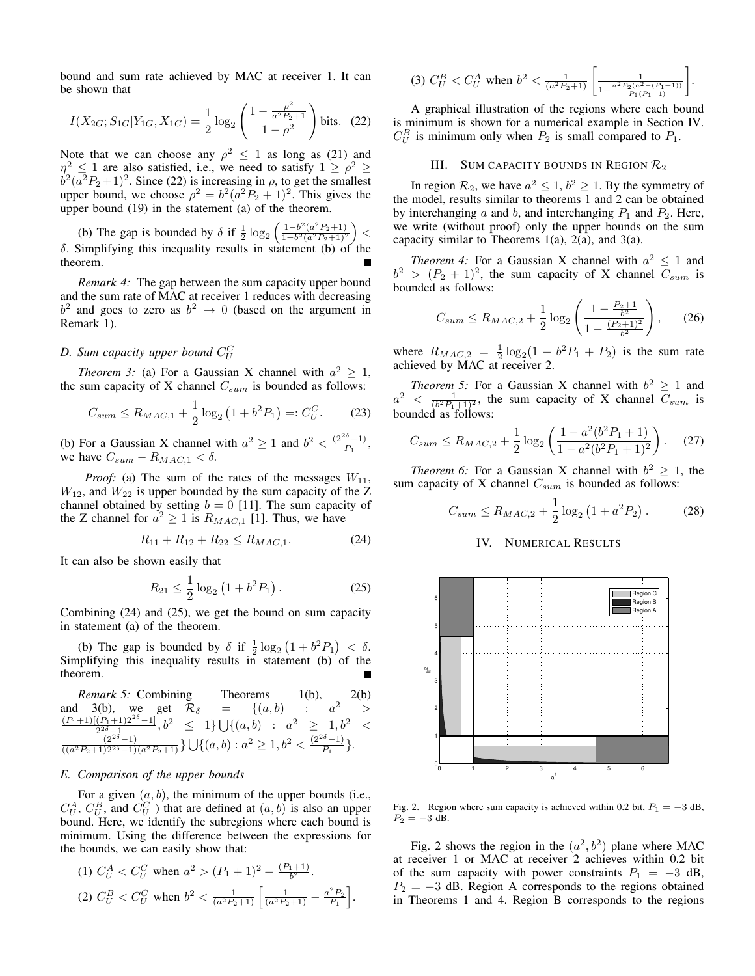bound and sum rate achieved by MAC at receiver 1. It can be shown that

$$
I(X_{2G}; S_{1G}|Y_{1G}, X_{1G}) = \frac{1}{2} \log_2 \left( \frac{1 - \frac{\rho^2}{a^2 P_2 + 1}}{1 - \rho^2} \right)
$$
 bits. (22)

Note that we can choose any  $\rho^2 \leq 1$  as long as (21) and  $\eta^2 \le 1$  are also satisfied, i.e., we need to satisfy  $1 \ge \rho^2 \ge b^2(a^2P_2+1)^2$ . Since (22) is increasing in  $\rho$ , to get the smallest upper bound, we choose  $\rho^2 = b^2(a^2P_2 + 1)^2$ . This gives the upper bound (19) in the statement (a) of the theorem.

(b) The gap is bounded by  $\delta$  if  $\frac{1}{2} \log_2 \left( \frac{1 - b^2 (a^2 P_2 + 1)}{1 - b^2 (a^2 P_2 + 1)^2} \right)$  <  $\delta$ . Simplifying this inequality results in statement (b) of the theorem.

*Remark 4:* The gap between the sum capacity upper bound and the sum rate of MAC at receiver 1 reduces with decreasing  $b^2$  and goes to zero as  $b^2 \rightarrow 0$  (based on the argument in Remark 1).

# D. Sum capacity upper bound  $C_{U}^{C}$

*Theorem 3:* (a) For a Gaussian X channel with  $a^2 \geq 1$ , the sum capacity of X channel  $C_{sum}$  is bounded as follows:

$$
C_{sum} \le R_{MAC,1} + \frac{1}{2} \log_2 \left( 1 + b^2 P_1 \right) =: C_U^C. \tag{23}
$$

(b) For a Gaussian X channel with  $a^2 \ge 1$  and  $b^2 < \frac{(2^{2\delta}-1)}{P_1}$  $\frac{-1)}{P_1},$ we have  $C_{sum} - R_{MAC,1} < \delta$ .

*Proof:* (a) The sum of the rates of the messages  $W_{11}$ ,  $W_{12}$ , and  $W_{22}$  is upper bounded by the sum capacity of the Z channel obtained by setting  $b = 0$  [11]. The sum capacity of the Z channel for  $a^2 \ge 1$  is  $R_{MAC,1}$  [1]. Thus, we have

$$
R_{11} + R_{12} + R_{22} \le R_{MAC,1}.\tag{24}
$$

It can also be shown easily that

$$
R_{21} \le \frac{1}{2} \log_2 \left( 1 + b^2 P_1 \right). \tag{25}
$$

Combining (24) and (25), we get the bound on sum capacity in statement (a) of the theorem.

(b) The gap is bounded by  $\delta$  if  $\frac{1}{2} \log_2 (1 + b^2 P_1) < \delta$ . Simplifying this inequality results in statement (b) of the theorem.

*Remark 5:* Combining Theorems 1(b), 2(b)  $3(b)$ , we get  $\mathcal{R}_{\delta}$  = {(a, b) :  $a^2$  > and 3(b), we get  $\mathcal{R}_\delta$  =  $\{(a, b) : a^2 >$  $(P_1+1)[(P_1+1)2^{2\delta}-1]$  $\frac{(P_1+1)(P_1+1)2^{2\delta}-11}{2^{2\delta}-1},b^2 \leq 1$   $\bigcup \{(a,b) : a^2 \geq 1, b^2 < \frac{(2^{2\delta}-1)}{((a^2P_2+1)2^{2\delta}-1)(a^2P_2+1)}\}\bigcup \{(a,b) : a^2 \geq 1, b^2 < \frac{(2^{2\delta}-1)}{P_1}\}.$  $\frac{-1}{P_1}$ .

# *E. Comparison of the upper bounds*

For a given  $(a, b)$ , the minimum of the upper bounds (i.e.,  $C_U^A$ ,  $C_U^B$ , and  $C_U^C$  ) that are defined at  $(a, b)$  is also an upper bound. Here, we identify the subregions where each bound is minimum. Using the difference between the expressions for the bounds, we can easily show that:

(1) 
$$
C_U^A < C_U^C
$$
 when  $a^2 > (P_1 + 1)^2 + \frac{(P_1 + 1)}{b^2}$ .  
\n(2)  $C_U^B < C_U^C$  when  $b^2 < \frac{1}{(a^2 P_2 + 1)} \left[ \frac{1}{(a^2 P_2 + 1)} - \frac{a^2 P_2}{P_1} \right]$ .

$$
(3) C_U^B < C_U^A \text{ when } b^2 < \frac{1}{(a^2 P_2 + 1)} \left[ \frac{1}{1 + \frac{a^2 P_2(a^2 - (P_1 + 1))}{P_1(P_1 + 1)}} \right]
$$

.

A graphical illustration of the regions where each bound is minimum is shown for a numerical example in Section IV.  $C_U^B$  is minimum only when  $P_2$  is small compared to  $P_1$ .

### III. SUM CAPACITY BOUNDS IN REGION  $\mathcal{R}_2$

In region  $\mathcal{R}_2$ , we have  $a^2 \leq 1$ ,  $b^2 \geq 1$ . By the symmetry of the model, results similar to theorems 1 and 2 can be obtained by interchanging a and b, and interchanging  $P_1$  and  $P_2$ . Here, we write (without proof) only the upper bounds on the sum capacity similar to Theorems  $1(a)$ ,  $2(a)$ , and  $3(a)$ .

*Theorem 4:* For a Gaussian X channel with  $a^2 \leq 1$  and  $b^2 > (P_2 + 1)^2$ , the sum capacity of X channel  $C_{sum}$  is bounded as follows:

$$
C_{sum} \le R_{MAC,2} + \frac{1}{2} \log_2 \left( \frac{1 - \frac{P_2 + 1}{b^2}}{1 - \frac{(P_2 + 1)^2}{b^2}} \right), \qquad (26)
$$

where  $R_{MAC,2} = \frac{1}{2} \log_2(1 + b^2 P_1 + P_2)$  is the sum rate achieved by MAC at receiver 2.

*Theorem 5:* For a Gaussian X channel with  $b^2 \ge 1$  and  $a^2 < \frac{1}{(b^2 P_1 + 1)^2}$ , the sum capacity of X channel  $C_{sum}$  is bounded as follows:

$$
C_{sum} \le R_{MAC,2} + \frac{1}{2} \log_2 \left( \frac{1 - a^2 (b^2 P_1 + 1)}{1 - a^2 (b^2 P_1 + 1)^2} \right). \tag{27}
$$

*Theorem 6:* For a Gaussian X channel with  $b^2 \geq 1$ , the sum capacity of X channel  $C_{sum}$  is bounded as follows:

$$
C_{sum} \le R_{MAC,2} + \frac{1}{2} \log_2 \left( 1 + a^2 P_2 \right). \tag{28}
$$

## IV. NUMERICAL RESULTS



Fig. 2. Region where sum capacity is achieved within 0.2 bit,  $P_1 = -3$  dB,  $P_2 = -3$  dB.

Fig. 2 shows the region in the  $(a^2, b^2)$  plane where MAC at receiver 1 or MAC at receiver 2 achieves within 0.2 bit of the sum capacity with power constraints  $P_1 = -3$  dB,  $P_2 = -3$  dB. Region A corresponds to the regions obtained in Theorems 1 and 4. Region B corresponds to the regions